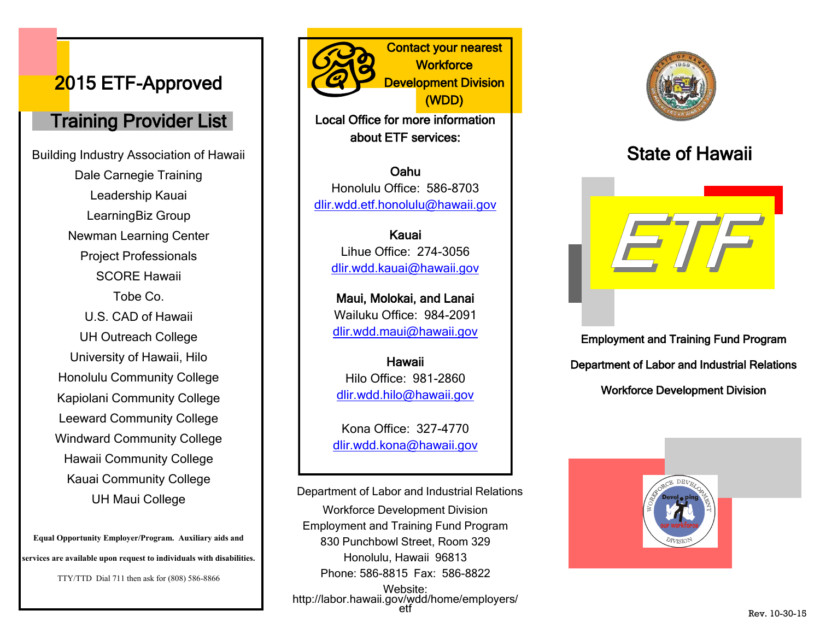## 2015 ETF-Approved

#### Training Provider List

Building Industry Association of Hawaii Dale Carnegie Training Leadership Kauai LearningBiz Group Newman Learning Center Project Professionals SCORE Hawaii Tobe Co. U.S. CAD of Hawaii UH Outreach College University of Hawaii, Hilo Honolulu Community College Kapiolani Community College Leeward Community College Windward Community College Hawaii Community College Kauai Community College UH Maui College

**Equal Opportunity Employer/Program. Auxiliary aids and services are available upon request to individuals with disabilities.**

TTY/TTD Dial 711 then ask for (808) 586-8866

Contact your nearest **Workforce** Development Division (WDD)

Local Office for more information about ETF services:

Oahu Honolulu Office: 586-8703 dlir.wdd.etf.honolulu@hawaii.gov

> Kauai Lihue Office: 274-3056 dlir.wdd.kauai@hawaii.gov

Maui, Molokai, and Lanai Wailuku Office: 984-2091 dlir.wdd.maui@hawaii.gov

Hawaii Hilo Office: 981-2860 dlir.wdd.hilo@hawaii.gov

Kona Office: 327-4770 dlir.wdd.kona@hawaii.gov

Workforce Development Division Employment and Training Fund Program 830 Punchbowl Street, Room 329 Honolulu, Hawaii 96813 Phone: 586-8815 Fax: 586-8822 Website: http://labor.hawaii.gov/wdd/home/employers/ etf Department of Labor and Industrial Relations



# State of Hawaii



Employment and Training Fund Program Department of Labor and Industrial Relations Workforce Development Division